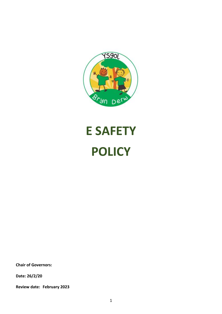

# **E SAFETY POLICY**

**Chair of Governors:**

**Date: 26/2/20**

**Review date: February 2023**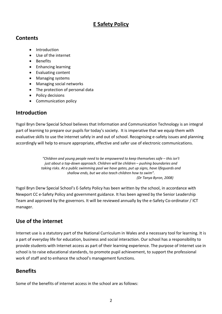# **E Safety Policy**

## **Contents**

- Introduction
- Use of the internet
- Benefits
- Enhancing learning
- Evaluating content
- Managing systems
- Managing social networks
- The protection of personal data
- Policy decisions
- Communication policy

# **Introduction**

Ysgol Bryn Derw Special School believes that Information and Communication Technology is an integral part of learning to prepare our pupils for today's society. It is imperative that we equip them with evaluative skills to use the internet safely in and out of school. Recognising e-safety issues and planning accordingly will help to ensure appropriate, effective and safer use of electronic communications.

> *"Children and young people need to be empowered to keep themselves safe – this isn't just about a top-down approach. Children will be children – pushing boundaries and taking risks. At a public swimming pool we have gates, put up signs, have lifeguards and shallow ends, but we also teach children how to swim". (Dr Tanya Byron, 2008)*

Ysgol Bryn Derw Special School's E-Safety Policy has been written by the school, in accordance with Newport CC e-Safety Policy and government guidance. It has been agreed by the Senior Leadership Team and approved by the governors. It will be reviewed annually by the e-Safety Co-ordinator / ICT manager.

# **Use of the internet**

Internet use is a statutory part of the National Curriculum in Wales and a necessary tool for learning. It is a part of everyday life for education, business and social interaction. Our school has a responsibility to provide students with Internet access as part of their learning experience. The purpose of Internet use in school is to raise educational standards, to promote pupil achievement, to support the professional work of staff and to enhance the school's management functions.

# **Benefits**

Some of the benefits of internet access in the school are as follows: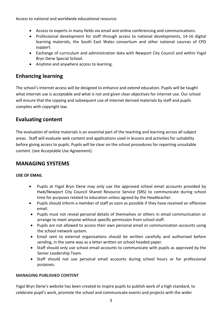Access to national and worldwide educational resource.

- Access to experts in many fields via email and online conferencing and communications.
- Professional development for staff through access to national developments, 14-16 digital learning materials, the South East Wales consortium and other national sources of CPD support.
- Exchange of curriculum and administration data with Newport City Council and within Ysgol Bryn Derw Special School.
- Anytime and anywhere access to learning.

# **Enhancing learning**

The school's Internet access will be designed to enhance and extend education. Pupils will be taught what internet use is acceptable and what is not and given clear objectives for internet use. Our school will ensure that the copying and subsequent use of internet derived materials by staff and pupils complies with copyright law.

## **Evaluating content**

The evaluation of online materials is an essential part of the teaching and learning across all subject areas. Staff will evaluate web content and applications used in lessons and activities for suitability before giving access to pupils. Pupils will be clear on the school procedures for reporting unsuitable content. (see Acceptable Use Agreement).

## **MANAGING SYSTEMS**

## **USE OF EMAIL**

- Pupils at Ysgol Bryn Derw may only use the approved school email accounts provided by Hwb/Newport City Council Shared Resource Service (SRS) to communicate during school time for purposes related to education unless agreed by the Headteacher.
- Pupils should inform a member of staff as soon as possible if they have received an offensive email.
- Pupils must not reveal personal details of themselves or others in email communication or arrange to meet anyone without specific permission from school staff.
- Pupils are not allowed to access their own personal email or communication accounts using the school network system.
- Email sent to external organisations should be written carefully and authorised before sending, in the same way as a letter written on school headed paper.
- Staff should only use school email accounts to communicate with pupils as approved by the Senior Leadership Team.
- Staff should not use personal email accounts during school hours or for professional purposes.

## **MANAGING PUBLISHED CONTENT**

Ysgol Bryn Derw's website has been created to inspire pupils to publish work of a high standard, to celebrate pupil's work, promote the school and communicate events and projects with the wider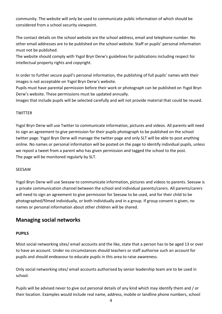community. The website will only be used to communicate public information of which should be considered from a school security viewpoint.

The contact details on the school website are the school address, email and telephone number. No other email addresses are to be published on the school website. Staff or pupils' personal information must not be published.

The website should comply with Ysgol Bryn Derw's guidelines for publications including respect for intellectual property rights and copyright.

In order to further secure pupil's personal information, the publishing of full pupils' names with their images is not acceptable on Ysgol Bryn Derw's website.

Pupils must have parental permission before their work or photograph can be published on Ysgol Bryn Derw's website. These permissions must be updated annually.

Images that include pupils will be selected carefully and will not provide material that could be reused.

## **TWITTER**

Ysgol Bryn Derw will use Twitter to communicate information, pictures and videos. All parents will need to sign an agreement to give permission for their pupils photograph to be published on the school twitter page. Ysgol Bryn Derw will manage the twitter page and only SLT will be able to post anything online. No names or personal information will be posted on the page to identify individual pupils, unless we repost a tweet from a parent who has given permission and tagged the school to the post. The page will be monitored regularly by SLT.

### SEESAW

Ysgol Bryn Derw will use Seesaw to communicate information, pictures and videos to parents. Seesaw is a private communication channel between the school and individual parents/carers. All parents/carers will need to sign an agreement to give permission for Seesaw to be used, and for their child to be photographed/filmed individually, or both individually and in a group. If group consent is given, no names or personal information about other children will be shared.

## **Managing social networks**

## **PUPILS**

Most social networking sites/ email accounts and the like, state that a person has to be aged 13 or over to have an account. Under no circumstances should teachers or staff authorise such an account for pupils and should endeavour to educate pupils in this area to raise awareness.

Only social networking sites/ email accounts authorised by senior leadership team are to be used in school.

Pupils will be advised never to give out personal details of any kind which may identify them and / or their location. Examples would include real name, address, mobile or landline phone numbers, school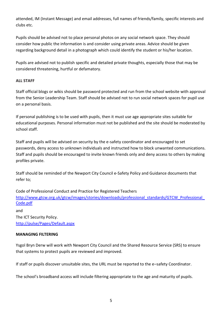attended, IM (Instant Message) and email addresses, full names of friends/family, specific interests and clubs etc.

Pupils should be advised not to place personal photos on any social network space. They should consider how public the information is and consider using private areas. Advice should be given regarding background detail in a photograph which could identify the student or his/her location.

Pupils are advised not to publish specific and detailed private thoughts, especially those that may be considered threatening, hurtful or defamatory.

## **ALL STAFF**

Staff official blogs or wikis should be password protected and run from the school website with approval from the Senior Leadership Team. Staff should be advised not to run social network spaces for pupil use on a personal basis.

If personal publishing is to be used with pupils, then it must use age appropriate sites suitable for educational purposes. Personal information must not be published and the site should be moderated by school staff.

Staff and pupils will be advised on security by the e-safety coordinator and encouraged to set passwords, deny access to unknown individuals and instructed how to block unwanted communications. Staff and pupils should be encouraged to invite known friends only and deny access to others by making profiles private.

Staff should be reminded of the Newport City Council e-Safety Policy and Guidance documents that refer to;

Code of Professional Conduct and Practice for Registered Teachers http://www.gtcw.org.uk/gtcw/images/stories/downloads/professional\_standards/GTCW\_Professional [Code.pdf](http://www.gtcw.org.uk/gtcw/images/stories/downloads/professional_standards/GTCW_Professional_Code.pdf)

and The ICT Security Policy. <http://pulse/Pages/Default.aspx>

### **MANAGING FILTERING**

Ysgol Bryn Derw will work with Newport City Council and the Shared Resource Service (SRS) to ensure that systems to protect pupils are reviewed and improved.

If staff or pupils discover unsuitable sites, the URL must be reported to the e–safety Coordinator.

The school's broadband access will include filtering appropriate to the age and maturity of pupils.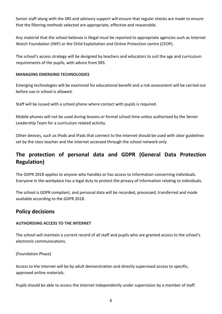Senior staff along with the SRS and advisory support will ensure that regular checks are made to ensure that the filtering methods selected are appropriate, effective and reasonable.

Any material that the school believes is illegal must be reported to appropriate agencies such as Internet Watch Foundation (IWF) or the Child Exploitation and Online Protection centre (CEOP).

The school's access strategy will be designed by teachers and educators to suit the age and curriculum requirements of the pupils, with advice from SRS.

## **MANAGING EMERGING TECHNOLOGIES**

Emerging technologies will be examined for educational benefit and a risk assessment will be carried out before use in school is allowed.

Staff will be issued with a school phone where contact with pupils is required.

Mobile phones will not be used during lessons or formal school time unless authorised by the Senior Leadership Team for a curriculum related activity.

Other devices, such as iPods and iPads that connect to the internet should be used with clear guidelines set by the class teacher and the internet accessed through the school network only.

# **The protection of personal data and GDPR (General Data Protection Regulation)**

The GDPR 2018 applies to anyone who handles or has access to information concerning individuals. Everyone in the workplace has a legal duty to protect the privacy of information relating to individuals.

The school is GDPR compliant, and personal data will be recorded, processed, transferred and made available according to the GDPR 2018.

## **Policy decisions**

### **AUTHORISING ACCESS TO THE INTERNET**

The school will maintain a current record of all staff and pupils who are granted access to the school's electronic communications.

(Foundation Phase)

Access to the Internet will be by adult demonstration and directly supervised access to specific, approved online materials.

Pupils should be able to access the internet independently under supervision by a member of staff.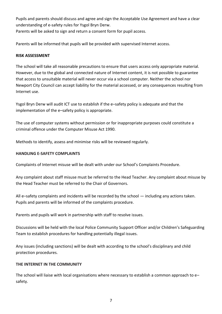Pupils and parents should discuss and agree and sign the Acceptable Use Agreement and have a clear understanding of e-safety rules for Ysgol Bryn Derw.

Parents will be asked to sign and return a consent form for pupil access.

Parents will be informed that pupils will be provided with supervised Internet access.

## **RISK ASSESSMENT**

The school will take all reasonable precautions to ensure that users access only appropriate material. However, due to the global and connected nature of Internet content, it is not possible to guarantee that access to unsuitable material will never occur via a school computer. Neither the school nor Newport City Council can accept liability for the material accessed, or any consequences resulting from Internet use.

Ysgol Bryn Derw will audit ICT use to establish if the e–safety policy is adequate and that the implementation of the e–safety policy is appropriate.

The use of computer systems without permission or for inappropriate purposes could constitute a criminal offence under the Computer Misuse Act 1990.

Methods to identify, assess and minimise risks will be reviewed regularly.

### **HANDLING E-SAFETY COMPLAINTS**

Complaints of Internet misuse will be dealt with under our School's Complaints Procedure.

Any complaint about staff misuse must be referred to the Head Teacher. Any complaint about misuse by the Head Teacher must be referred to the Chair of Governors.

All e–safety complaints and incidents will be recorded by the school — including any actions taken. Pupils and parents will be informed of the complaints procedure.

Parents and pupils will work in partnership with staff to resolve issues.

Discussions will be held with the local Police Community Support Officer and/or Children's Safeguarding Team to establish procedures for handling potentially illegal issues.

Any issues (including sanctions) will be dealt with according to the school's disciplinary and child protection procedures.

### **THE INTERNET IN THE COMMUNITY**

The school will liaise with local organisations where necessary to establish a common approach to e– safety.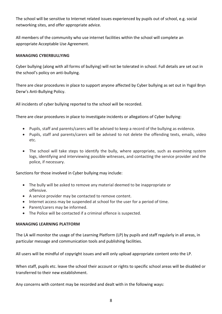The school will be sensitive to Internet related issues experienced by pupils out of school, e.g. social networking sites, and offer appropriate advice.

All members of the community who use internet facilities within the school will complete an appropriate Acceptable Use Agreement.

### **MANAGING CYBERBULLYING**

Cyber bullying (along with all forms of bullying) will not be tolerated in school. Full details are set out in the school's policy on anti-bullying.

There are clear procedures in place to support anyone affected by Cyber bullying as set out in Ysgol Bryn Derw's Anti-Bullying Policy.

All incidents of cyber bullying reported to the school will be recorded.

There are clear procedures in place to investigate incidents or allegations of Cyber bullying:

- Pupils, staff and parents/carers will be advised to keep a record of the bullying as evidence.
- Pupils, staff and parents/carers will be advised to not delete the offending texts, emails, video etc.
- The school will take steps to identify the bully, where appropriate, such as examining system logs, identifying and interviewing possible witnesses, and contacting the service provider and the police, if necessary.

Sanctions for those involved in Cyber bullying may include:

- The bully will be asked to remove any material deemed to be inappropriate or offensive.
- A service provider may be contacted to remove content.
- Internet access may be suspended at school for the user for a period of time.
- Parent/carers may be informed.
- The Police will be contacted if a criminal offence is suspected.

### **MANAGING LEARNING PLATFORM**

The LA will monitor the usage of the Learning Platform (LP) by pupils and staff regularly in all areas, in particular message and communication tools and publishing facilities.

All users will be mindful of copyright issues and will only upload appropriate content onto the LP.

When staff, pupils etc. leave the school their account or rights to specific school areas will be disabled or transferred to their new establishment.

Any concerns with content may be recorded and dealt with in the following ways: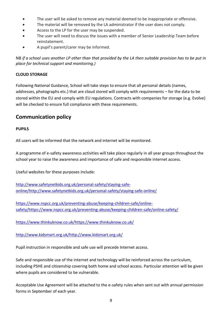- The user will be asked to remove any material deemed to be inappropriate or offensive.
- The material will be removed by the LA administrator if the user does not comply.
- Access to the LP for the user may be suspended.
- The user will need to discuss the issues with a member of Senior Leadership Team before reinstatement.
- A pupil's parent/carer may be informed.

NB *if a school uses another LP other than that provided by the LA then suitable provision has to be put in place for technical support and monitoring.)*

## **CLOUD STORAGE**

Following National Guidance, School will take steps to ensure that all personal details (names, addresses, photographs etc.) that are cloud stored will comply with requirements – for the data to be stored within the EU and comply with EU regulations. Contracts with companies for storage (e.g. Evolve) will be checked to ensure full compliance with these requirements.

## **Communication policy**

## **PUPILS**

All users will be informed that the network and internet will be monitored.

A programme of e-safety awareness activities will take place regularly in all year groups throughout the school year to raise the awareness and importance of safe and responsible internet access.

Useful websites for these purposes include:

[http://www.safetynetkids.org.uk/personal-safety/staying-safe](http://www.safetynetkids.org.uk/personal-safety/staying-safe-online/http:/www.safetynetkids.org.uk/personal-safety/staying-safe-online/)[online/http://www.safetynetkids.org.uk/personal-safety/staying-safe-online/](http://www.safetynetkids.org.uk/personal-safety/staying-safe-online/http:/www.safetynetkids.org.uk/personal-safety/staying-safe-online/)

[https://www.nspcc.org.uk/preventing-abuse/keeping-children-safe/online](https://www.nspcc.org.uk/preventing-abuse/keeping-children-safe/online-safety/https:/www.nspcc.org.uk/preventing-abuse/keeping-children-safe/online-safety/)[safety/https://www.nspcc.org.uk/preventing-abuse/keeping-children-safe/online-safety/](https://www.nspcc.org.uk/preventing-abuse/keeping-children-safe/online-safety/https:/www.nspcc.org.uk/preventing-abuse/keeping-children-safe/online-safety/)

[https://www.thinkuknow.co.uk/https://www.thinkuknow.co.uk/](https://www.thinkuknow.co.uk/https:/www.thinkuknow.co.uk/)

[http://www.kidsmart.org.uk/http://www.kidsmart.org.uk/](http://www.kidsmart.org.uk/http:/www.kidsmart.org.uk/)

Pupil instruction in responsible and safe use will precede Internet access.

Safe and responsible use of the internet and technology will be reinforced across the curriculum, including PSHE and citizenship covering both home and school access. Particular attention will be given where pupils are considered to be vulnerable.

Acceptable Use Agreement will be attached to the e-safety rules when sent out with annual permission forms in September of each year.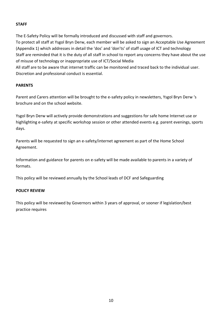## **STAFF**

The E-Safety Policy will be formally introduced and discussed with staff and governors. To protect all staff at Ysgol Bryn Derw, each member will be asked to sign an Acceptable Use Agreement (Appendix 1) which addresses in detail the 'dos' and 'don'ts' of staff usage of ICT and technology Staff are reminded that it is the duty of all staff in school to report any concerns they have about the use of misuse of technology or inappropriate use of ICT/Social Media

All staff are to be aware that internet traffic can be monitored and traced back to the individual user. Discretion and professional conduct is essential.

## **PARENTS**

Parent and Carers attention will be brought to the e-safety policy in newsletters, Ysgol Bryn Derw 's brochure and on the school website.

Ysgol Bryn Derw will actively provide demonstrations and suggestions for safe home Internet use or highlighting e-safety at specific workshop session or other attended events e.g. parent evenings, sports days.

Parents will be requested to sign an e-safety/internet agreement as part of the Home School Agreement.

Information and guidance for parents on e-safety will be made available to parents in a variety of formats.

This policy will be reviewed annually by the School leads of DCF and Safeguarding

## **POLICY REVIEW**

This policy will be reviewed by Governors within 3 years of approval, or sooner if legislation/best practice requires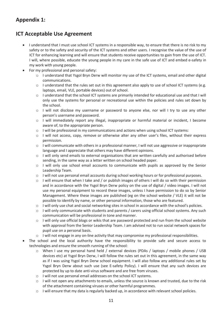# **Appendix 1:**

## **ICT Acceptable Use Agreement**

- I understand that I must use school ICT systems in a responsible way, to ensure that there is no risk to my safety or to the safety and security of the ICT systems and other users. I recognise the value of the use of ICT for enhancing learning and will ensure that students receive opportunities to gain from the use of ICT. I will, where possible, educate the young people in my care in the safe use of ICT and embed e-safety in my work with young people.
- For my professional and personal safety:
	- o I understand that Ysgol Bryn Derw will monitor my use of the ICT systems, email and other digital communications.
	- $\circ$  I understand that the rules set out in this agreement also apply to use of school ICT systems (e.g. laptops, email, VLE, portable devices) out of school.
	- o I understand that the school ICT systems are primarily intended for educational use and that I will only use the systems for personal or recreational use within the policies and rules set down by the school.
	- o I will not disclose my username or password to anyone else, nor will I try to use any other person's username and password.
	- o I will immediately report any illegal, inappropriate or harmful material or incident, I become aware of, to the appropriate person.
	- o I will be professional in my communications and actions when using school ICT systems:
	- o I will not access, copy, remove or otherwise alter any other user's files, without their express permission.
	- $\circ$  I will communicate with others in a professional manner, I will not use aggressive or inappropriate language and I appreciate that others may have different opinions.
	- o I will only send emails to external organisations that are written carefully and authorised before sending, in the same way as a letter written on school headed paper.
	- $\circ$  I will only use school email accounts to communicate with pupils as approved by the Senior Leadership Team.
	- o I will not use personal email accounts during school working hours or for professional purposes.
	- $\circ$  I will ensure that when I take and / or publish images of others I will do so with their permission and in accordance with the Ysgol Bryn Derw policy on the use of digital / video images. I will not use my personal equipment to record these images, unless I have permission to do so by Senior Management. Where these images are published (eg on the school website / VLE) it will not be possible to identify by name, or other personal information, those who are featured.
	- o I will only use chat and social networking sites in school in accordance with the school's policies.
	- $\circ$  I will only communicate with students and parents / carers using official school systems. Any such communication will be professional in tone and manner.
	- o I will only use official blogs or wikis that are password protected and run from the school website with approval from the Senior Leadership Team. I am advised not to run social network spaces for pupil use on a personal basis.
	- $\circ$  I will not engage in any on-line activity that may compromise my professional responsibilities.
- The school and the local authority have the responsibility to provide safe and secure access to technologies and ensure the smooth running of the school:
	- o When I use my personal hand held / external devices (PDAs / laptops / mobile phones / USB devices etc) at Ysgol Bryn Derw, I will follow the rules set out in this agreement, in the same way as if I was using Ysgol Bryn Derw school equipment. I will also follow any additional rules set by Ysgol Bryn Derw about such use (see E-safety Policy). I will ensure that any such devices are protected by up to date anti-virus software and are free from viruses.
	- o I will not use personal email addresses on the school ICT systems.
	- $\circ$  I will not open any attachments to emails, unless the source is known and trusted, due to the risk of the attachment containing viruses or other harmful programmes.
	- o I will ensure that my data is regularly backed up, in accordance with relevant school policies.